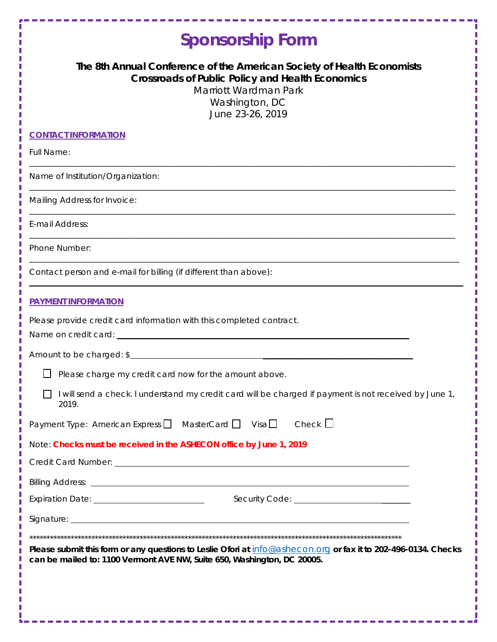# **Sponsorship Form**

## **The 8th Annual Conference of the American Society of Health Economists Crossroads of Public Policy and Health Economics**

Marriott Wardman Park Washington, DC June 23-26, 2019

| <b>CONTACT INFORMATION</b>                                                                                                                                                                       |
|--------------------------------------------------------------------------------------------------------------------------------------------------------------------------------------------------|
| <b>Full Name:</b>                                                                                                                                                                                |
| Name of Institution/Organization:                                                                                                                                                                |
| Mailing Address for Invoice:                                                                                                                                                                     |
| E-mail Address:                                                                                                                                                                                  |
| Phone Number:                                                                                                                                                                                    |
| Contact person and e-mail for billing (if different than above):                                                                                                                                 |
| <b>PAYMENT INFORMATION</b>                                                                                                                                                                       |
| Please provide credit card information with this completed contract.                                                                                                                             |
|                                                                                                                                                                                                  |
| Please charge my credit card now for the amount above.                                                                                                                                           |
| I will send a check. I understand my credit card will be charged if payment is not received by June 1,<br>2019.                                                                                  |
| Payment Type: American Express $\Box$ MasterCard $\Box$ Visa $\Box$ Check $\Box$                                                                                                                 |
| Note: Checks must be received in the ASHECON office by June 1, 2019                                                                                                                              |
|                                                                                                                                                                                                  |
|                                                                                                                                                                                                  |
| Expiration Date: ____________________________<br>Security Code: <u>____________________________</u>                                                                                              |
|                                                                                                                                                                                                  |
| Please submit this form or any questions to Leslie Ofori at <b>info@ashecon.org</b> or fax it to 202-496-0134. Checks<br>can be mailed to: 1100 Vermont AVE NW, Suite 650, Washington, DC 20005. |